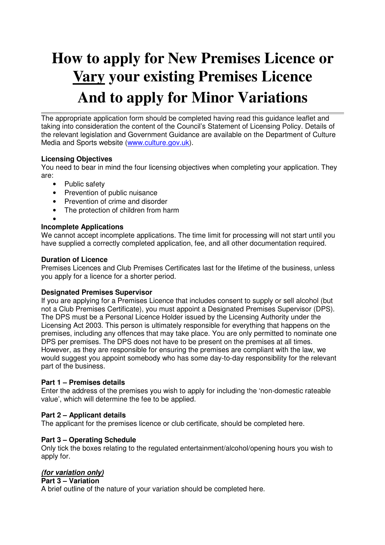## **How to apply for New Premises Licence or Vary your existing Premises Licence And to apply for Minor Variations**

The appropriate application form should be completed having read this guidance leaflet and taking into consideration the content of the Council's Statement of Licensing Policy. Details of the relevant legislation and Government Guidance are available on the Department of Culture Media and Sports website (www.culture.gov.uk).

#### **Licensing Objectives**

You need to bear in mind the four licensing objectives when completing your application. They are:

- Public safety
- Prevention of public nuisance
- Prevention of crime and disorder
- The protection of children from harm

•

#### **Incomplete Applications**

We cannot accept incomplete applications. The time limit for processing will not start until you have supplied a correctly completed application, fee, and all other documentation required.

#### **Duration of Licence**

Premises Licences and Club Premises Certificates last for the lifetime of the business, unless you apply for a licence for a shorter period.

#### **Designated Premises Supervisor**

If you are applying for a Premises Licence that includes consent to supply or sell alcohol (but not a Club Premises Certificate), you must appoint a Designated Premises Supervisor (DPS). The DPS must be a Personal Licence Holder issued by the Licensing Authority under the Licensing Act 2003. This person is ultimately responsible for everything that happens on the premises, including any offences that may take place. You are only permitted to nominate one DPS per premises. The DPS does not have to be present on the premises at all times. However, as they are responsible for ensuring the premises are compliant with the law, we would suggest you appoint somebody who has some day-to-day responsibility for the relevant part of the business.

#### **Part 1 – Premises details**

Enter the address of the premises you wish to apply for including the 'non-domestic rateable value', which will determine the fee to be applied.

#### **Part 2 – Applicant details**

The applicant for the premises licence or club certificate, should be completed here.

#### **Part 3 – Operating Schedule**

Only tick the boxes relating to the regulated entertainment/alcohol/opening hours you wish to apply for.

#### **(for variation only)**

#### **Part 3 – Variation**

A brief outline of the nature of your variation should be completed here.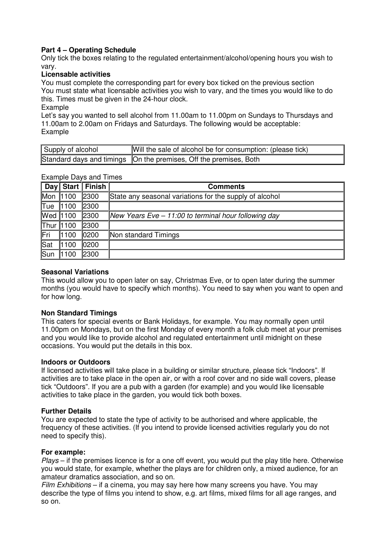#### **Part 4 – Operating Schedule**

Only tick the boxes relating to the regulated entertainment/alcohol/opening hours you wish to vary.

#### **Licensable activities**

You must complete the corresponding part for every box ticked on the previous section You must state what licensable activities you wish to vary, and the times you would like to do this. Times must be given in the 24-hour clock.

#### Example

Let's say you wanted to sell alcohol from 11.00am to 11.00pm on Sundays to Thursdays and 11.00am to 2.00am on Fridays and Saturdays. The following would be acceptable: Example

| Supply of alcohol | Will the sale of alcohol be for consumption: (please tick)          |
|-------------------|---------------------------------------------------------------------|
|                   | Standard days and timings   On the premises, Off the premises, Both |

|            | EXAILIDIC DAYS AIIU TIITICS |                    |                                                         |  |  |
|------------|-----------------------------|--------------------|---------------------------------------------------------|--|--|
|            |                             | Day Start   Finish | <b>Comments</b>                                         |  |  |
| Mon 1100   |                             | 2300               | State any seasonal variations for the supply of alcohol |  |  |
| <b>Tue</b> | 1100                        | 2300               |                                                         |  |  |
| Wed 1100   |                             | 2300               | New Years Eve $-11:00$ to terminal hour following day   |  |  |
| Thur 1100  |                             | 2300               |                                                         |  |  |
| Fri        | 1100                        | 0200               | Non standard Timings                                    |  |  |
| Sat        | 1100                        | 0200               |                                                         |  |  |
| Sun        | 1100                        | 2300               |                                                         |  |  |

Example Days and Times

#### **Seasonal Variations**

This would allow you to open later on say, Christmas Eve, or to open later during the summer months (you would have to specify which months). You need to say when you want to open and for how long.

#### **Non Standard Timings**

This caters for special events or Bank Holidays, for example. You may normally open until 11.00pm on Mondays, but on the first Monday of every month a folk club meet at your premises and you would like to provide alcohol and regulated entertainment until midnight on these occasions. You would put the details in this box.

#### **Indoors or Outdoors**

If licensed activities will take place in a building or similar structure, please tick "Indoors". If activities are to take place in the open air, or with a roof cover and no side wall covers, please tick "Outdoors". If you are a pub with a garden (for example) and you would like licensable activities to take place in the garden, you would tick both boxes.

#### **Further Details**

You are expected to state the type of activity to be authorised and where applicable, the frequency of these activities. (If you intend to provide licensed activities regularly you do not need to specify this).

#### **For example:**

Plays – if the premises licence is for a one off event, you would put the play title here. Otherwise you would state, for example, whether the plays are for children only, a mixed audience, for an amateur dramatics association, and so on.

Film Exhibitions – if a cinema, you may say here how many screens you have. You may describe the type of films you intend to show, e.g. art films, mixed films for all age ranges, and so on.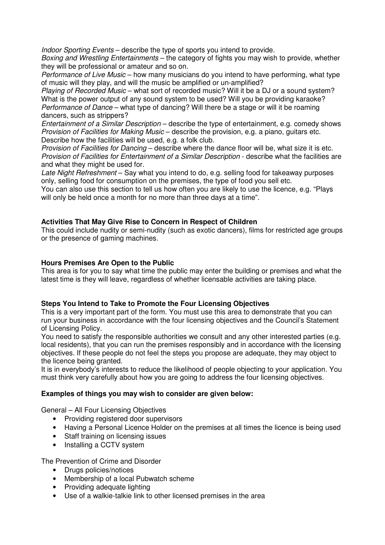Indoor Sporting Events – describe the type of sports you intend to provide.

Boxing and Wrestling Entertainments – the category of fights you may wish to provide, whether they will be professional or amateur and so on.

Performance of Live Music – how many musicians do you intend to have performing, what type of music will they play, and will the music be amplified or un-amplified?

Playing of Recorded Music – what sort of recorded music? Will it be a DJ or a sound system? What is the power output of any sound system to be used? Will you be providing karaoke? Performance of Dance – what type of dancing? Will there be a stage or will it be roaming dancers, such as strippers?

Entertainment of a Similar Description – describe the type of entertainment, e.g. comedy shows Provision of Facilities for Making Music – describe the provision, e.g. a piano, guitars etc. Describe how the facilities will be used, e.g. a folk club.

Provision of Facilities for Dancing – describe where the dance floor will be, what size it is etc. Provision of Facilities for Entertainment of a Similar Description - describe what the facilities are and what they might be used for.

Late Night Refreshment – Say what you intend to do, e.g. selling food for takeaway purposes only, selling food for consumption on the premises, the type of food you sell etc.

You can also use this section to tell us how often you are likely to use the licence, e.g. "Plays will only be held once a month for no more than three days at a time".

#### **Activities That May Give Rise to Concern in Respect of Children**

This could include nudity or semi-nudity (such as exotic dancers), films for restricted age groups or the presence of gaming machines.

#### **Hours Premises Are Open to the Public**

This area is for you to say what time the public may enter the building or premises and what the latest time is they will leave, regardless of whether licensable activities are taking place.

#### **Steps You Intend to Take to Promote the Four Licensing Objectives**

This is a very important part of the form. You must use this area to demonstrate that you can run your business in accordance with the four licensing objectives and the Council's Statement of Licensing Policy.

You need to satisfy the responsible authorities we consult and any other interested parties (e.g. local residents), that you can run the premises responsibly and in accordance with the licensing objectives. If these people do not feel the steps you propose are adequate, they may object to the licence being granted.

It is in everybody's interests to reduce the likelihood of people objecting to your application. You must think very carefully about how you are going to address the four licensing objectives.

#### **Examples of things you may wish to consider are given below:**

General – All Four Licensing Objectives

- Providing registered door supervisors
- Having a Personal Licence Holder on the premises at all times the licence is being used
- Staff training on licensing issues
- Installing a CCTV system

The Prevention of Crime and Disorder

- Drugs policies/notices
- Membership of a local Pubwatch scheme
- Providing adequate lighting
- Use of a walkie-talkie link to other licensed premises in the area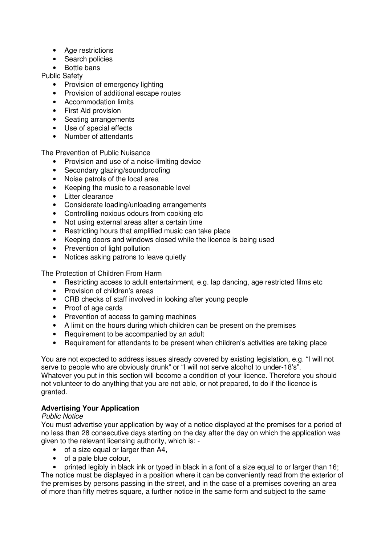- Age restrictions
- Search policies
- Bottle bans

Public Safety

- Provision of emergency lighting
- Provision of additional escape routes
- Accommodation limits
- First Aid provision
- Seating arrangements
- Use of special effects
- Number of attendants

The Prevention of Public Nuisance

- Provision and use of a noise-limiting device
- Secondary glazing/soundproofing
- Noise patrols of the local area
- Keeping the music to a reasonable level
- Litter clearance
- Considerate loading/unloading arrangements
- Controlling noxious odours from cooking etc
- Not using external areas after a certain time
- Restricting hours that amplified music can take place
- Keeping doors and windows closed while the licence is being used
- Prevention of light pollution
- Notices asking patrons to leave quietly

The Protection of Children From Harm

- Restricting access to adult entertainment, e.g. lap dancing, age restricted films etc
- Provision of children's areas
- CRB checks of staff involved in looking after young people
- Proof of age cards
- Prevention of access to gaming machines
- A limit on the hours during which children can be present on the premises
- Requirement to be accompanied by an adult
- Requirement for attendants to be present when children's activities are taking place

You are not expected to address issues already covered by existing legislation, e.g. "I will not serve to people who are obviously drunk" or "I will not serve alcohol to under-18's". Whatever you put in this section will become a condition of your licence. Therefore you should not volunteer to do anything that you are not able, or not prepared, to do if the licence is granted.

#### **Advertising Your Application**

#### Public Notice

You must advertise your application by way of a notice displayed at the premises for a period of no less than 28 consecutive days starting on the day after the day on which the application was given to the relevant licensing authority, which is: -

- of a size equal or larger than A4,
- of a pale blue colour.

• printed legibly in black ink or typed in black in a font of a size equal to or larger than 16; The notice must be displayed in a position where it can be conveniently read from the exterior of the premises by persons passing in the street, and in the case of a premises covering an area of more than fifty metres square, a further notice in the same form and subject to the same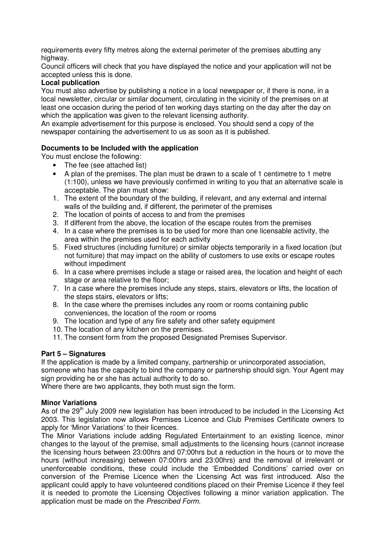requirements every fifty metres along the external perimeter of the premises abutting any highway.

Council officers will check that you have displayed the notice and your application will not be accepted unless this is done.

#### **Local publication**

You must also advertise by publishing a notice in a local newspaper or, if there is none, in a local newsletter, circular or similar document, circulating in the vicinity of the premises on at least one occasion during the period of ten working days starting on the day after the day on which the application was given to the relevant licensing authority.

An example advertisement for this purpose is enclosed. You should send a copy of the newspaper containing the advertisement to us as soon as it is published.

#### **Documents to be Included with the application**

You must enclose the following:

- The fee (see attached list)
- A plan of the premises. The plan must be drawn to a scale of 1 centimetre to 1 metre (1:100), unless we have previously confirmed in writing to you that an alternative scale is acceptable. The plan must show:
- 1. The extent of the boundary of the building, if relevant, and any external and internal walls of the building and, if different, the perimeter of the premises
- 2. The location of points of access to and from the premises
- 3. If different from the above, the location of the escape routes from the premises
- 4. In a case where the premises is to be used for more than one licensable activity, the area within the premises used for each activity
- 5. Fixed structures (including furniture) or similar objects temporarily in a fixed location (but not furniture) that may impact on the ability of customers to use exits or escape routes without impediment
- 6. In a case where premises include a stage or raised area, the location and height of each stage or area relative to the floor;
- 7. In a case where the premises include any steps, stairs, elevators or lifts, the location of the steps stairs, elevators or lifts;
- 8. In the case where the premises includes any room or rooms containing public conveniences, the location of the room or rooms
- 9. The location and type of any fire safety and other safety equipment
- 10. The location of any kitchen on the premises.
- 11. The consent form from the proposed Designated Premises Supervisor.

#### **Part 5 – Signatures**

If the application is made by a limited company, partnership or unincorporated association, someone who has the capacity to bind the company or partnership should sign. Your Agent may sign providing he or she has actual authority to do so.

Where there are two applicants, they both must sign the form.

#### **Minor Variations**

As of the 29<sup>th</sup> July 2009 new legislation has been introduced to be included in the Licensing Act 2003. This legislation now allows Premises Licence and Club Premises Certificate owners to apply for 'Minor Variations' to their licences.

The Minor Variations include adding Regulated Entertainment to an existing licence, minor changes to the layout of the premise, small adjustments to the licensing hours (cannot increase the licensing hours between 23:00hrs and 07:00hrs but a reduction in the hours or to move the hours (without increasing) between 07:00hrs and 23:00hrs) and the removal of irrelevant or unenforceable conditions, these could include the 'Embedded Conditions' carried over on conversion of the Premise Licence when the Licensing Act was first introduced. Also the applicant could apply to have volunteered conditions placed on their Premise Licence if they feel it is needed to promote the Licensing Objectives following a minor variation application. The application must be made on the Prescribed Form.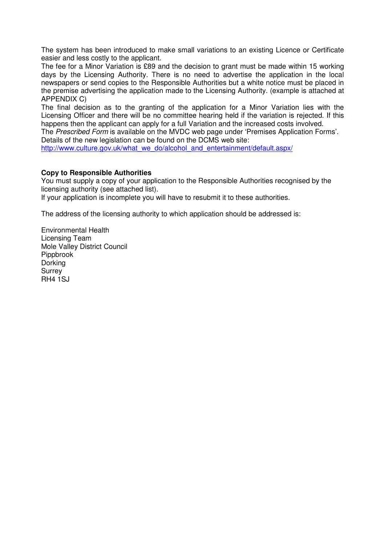The system has been introduced to make small variations to an existing Licence or Certificate easier and less costly to the applicant.

The fee for a Minor Variation is £89 and the decision to grant must be made within 15 working days by the Licensing Authority. There is no need to advertise the application in the local newspapers or send copies to the Responsible Authorities but a white notice must be placed in the premise advertising the application made to the Licensing Authority. (example is attached at APPENDIX C)

The final decision as to the granting of the application for a Minor Variation lies with the Licensing Officer and there will be no committee hearing held if the variation is rejected. If this happens then the applicant can apply for a full Variation and the increased costs involved.

The Prescribed Form is available on the MVDC web page under 'Premises Application Forms'. Details of the new legislation can be found on the DCMS web site:

http://www.culture.gov.uk/what\_we\_do/alcohol\_and\_entertainment/default.aspx/

#### **Copy to Responsible Authorities**

You must supply a copy of your application to the Responsible Authorities recognised by the licensing authority (see attached list).

If your application is incomplete you will have to resubmit it to these authorities.

The address of the licensing authority to which application should be addressed is:

Environmental Health Licensing Team Mole Valley District Council Pippbrook Dorking **Surrey** RH4 1SJ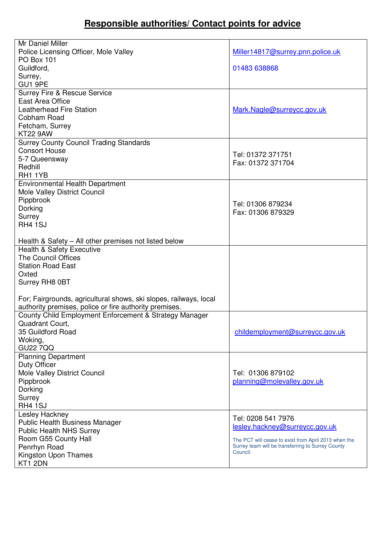### **Responsible authorities/ Contact points for advice**

| Mr Daniel Miller                                                  |                                                               |
|-------------------------------------------------------------------|---------------------------------------------------------------|
| Police Licensing Officer, Mole Valley                             | Miller14817@surrey.pnn.police.uk                              |
| <b>PO Box 101</b>                                                 |                                                               |
| Guildford,                                                        | 01483 638868                                                  |
| Surrey,                                                           |                                                               |
| GU1 9PE                                                           |                                                               |
| <b>Surrey Fire &amp; Rescue Service</b>                           |                                                               |
| East Area Office                                                  |                                                               |
| <b>Leatherhead Fire Station</b>                                   | Mark.Nagle@surreycc.gov.uk                                    |
| Cobham Road                                                       |                                                               |
| Fetcham, Surrey                                                   |                                                               |
| <b>KT22 9AW</b>                                                   |                                                               |
| <b>Surrey County Council Trading Standards</b>                    |                                                               |
| <b>Consort House</b>                                              |                                                               |
| 5-7 Queensway                                                     | Tel: 01372 371751                                             |
| Redhill                                                           | Fax: 01372 371704                                             |
| RH1 1YB                                                           |                                                               |
| <b>Environmental Health Department</b>                            |                                                               |
| Mole Valley District Council                                      |                                                               |
| Pippbrook                                                         |                                                               |
| Dorking                                                           | Tel: 01306 879234                                             |
| Surrey                                                            | Fax: 01306 879329                                             |
| RH4 1SJ                                                           |                                                               |
|                                                                   |                                                               |
| Health & Safety - All other premises not listed below             |                                                               |
| <b>Health &amp; Safety Executive</b>                              |                                                               |
| <b>The Council Offices</b>                                        |                                                               |
| <b>Station Road East</b>                                          |                                                               |
| Oxted                                                             |                                                               |
| Surrey RH8 0BT                                                    |                                                               |
|                                                                   |                                                               |
| For; Fairgrounds, agricultural shows, ski slopes, railways, local |                                                               |
| authority premises, police or fire authority premises.            |                                                               |
| County Child Employment Enforcement & Strategy Manager            |                                                               |
| Quadrant Court.                                                   |                                                               |
| 35 Guildford Road                                                 | childemployment@surreycc.gov.uk                               |
| Woking,                                                           |                                                               |
| <b>GU22 7QQ</b>                                                   |                                                               |
| <b>Planning Department</b>                                        |                                                               |
| Duty Officer                                                      |                                                               |
| Mole Valley District Council                                      | Tel: 01306 879102                                             |
| Pippbrook                                                         | planning@molevalley.gov.uk                                    |
| Dorking                                                           |                                                               |
| Surrey                                                            |                                                               |
| <b>RH4 1SJ</b>                                                    |                                                               |
| Lesley Hackney                                                    | Tel: 0208 541 7976                                            |
| Public Health Business Manager                                    | lesley.hackney@surreycc.gov.uk                                |
| <b>Public Health NHS Surrey</b>                                   |                                                               |
| Room G55 County Hall                                              | The PCT will cease to exist from April 2013 when the          |
| Penrhyn Road                                                      | Surrey team will be transferring to Surrey County<br>Council. |
| Kingston Upon Thames                                              |                                                               |
| KT1 2DN                                                           |                                                               |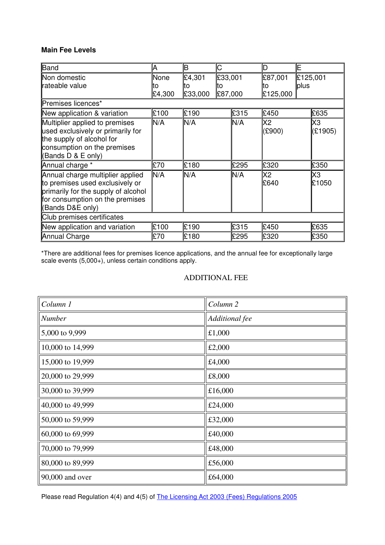#### **Main Fee Levels**

| Band                                                                                                                                                              | А                    | B                       | С                        |      | D                         | E                |  |
|-------------------------------------------------------------------------------------------------------------------------------------------------------------------|----------------------|-------------------------|--------------------------|------|---------------------------|------------------|--|
| Non domestic<br>rateable value                                                                                                                                    | None<br>to<br>£4,300 | £4,301<br>τo<br>£33,000 | £33,001<br>īΟ<br>£87,000 |      | £87,001<br>to<br>£125,000 | £125,001<br>plus |  |
| Premises licences*                                                                                                                                                |                      |                         |                          |      |                           |                  |  |
| New application & variation                                                                                                                                       | £100                 | £190                    |                          | £315 | £450                      | £635             |  |
| Multiplier applied to premises<br>used exclusively or primarily for<br>the supply of alcohol for<br>consumption on the premises<br>(Bands D & E only)             | IN/A                 | M/A                     |                          | N/A  | X2<br>(E900)              | X3<br>(E1905)    |  |
| Annual charge *                                                                                                                                                   | £70                  | £180                    |                          | £295 | £320                      | £350             |  |
| Annual charge multiplier applied<br>to premises used exclusively or<br>primarily for the supply of alcohol<br>for consumption on the premises<br>(Bands D&E only) | In/a                 | In/a                    |                          | IN/A | X2<br>£640                | X3<br>£1050      |  |
| Club premises certificates                                                                                                                                        |                      |                         |                          |      |                           |                  |  |
| New application and variation                                                                                                                                     | £100                 | £190                    |                          | £315 | £450                      | £635             |  |
| Annual Charge                                                                                                                                                     | £70                  | £180                    |                          | £295 | £320                      | £350             |  |

\*There are additional fees for premises licence applications, and the annual fee for exceptionally large scale events (5,000+), unless certain conditions apply.

#### ADDITIONAL FEE

| $\mathcal{C}$ olumn 1                 | Column <sub>2</sub> |
|---------------------------------------|---------------------|
| $N$ umber                             | Additional fee      |
| $\vert 5,000 \text{ to } 9,999 \vert$ | £1,000              |
| 10,000 to 14,999                      | £2,000              |
| 15,000 to 19,999                      | £4,000              |
| 20,000 to 29,999                      | £8,000              |
| 30,000 to 39,999                      | £16,000             |
| $\parallel$ 40,000 to 49,999          | £24,000             |
| 50,000 to 59,999                      | £32,000             |
| $\parallel 60,000$ to 69,999          | £40,000             |
| 70,000 to 79,999                      | £48,000             |
| 80,000 to 89,999                      | £56,000             |
| $\parallel$ 90,000 and over           | £64,000             |

Please read Regulation 4(4) and 4(5) of The Licensing Act 2003 (Fees) Regulations 2005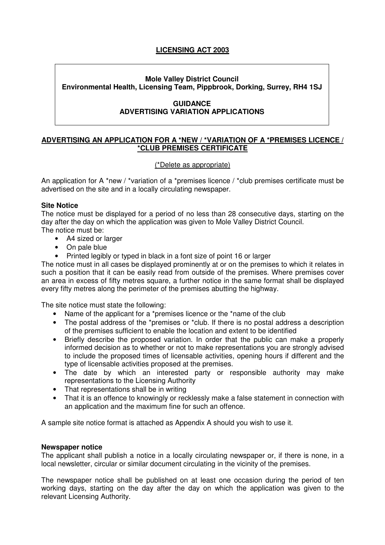#### **LICENSING ACT 2003**

#### **Mole Valley District Council Environmental Health, Licensing Team, Pippbrook, Dorking, Surrey, RH4 1SJ**

#### **GUIDANCE ADVERTISING VARIATION APPLICATIONS**

#### **ADVERTISING AN APPLICATION FOR A \*NEW / \*VARIATION OF A \*PREMISES LICENCE / \*CLUB PREMISES CERTIFICATE**

#### (\*Delete as appropriate)

An application for A \*new / \*variation of a \*premises licence / \*club premises certificate must be advertised on the site and in a locally circulating newspaper.

#### **Site Notice**

The notice must be displayed for a period of no less than 28 consecutive days, starting on the day after the day on which the application was given to Mole Valley District Council. The notice must be:

- A4 sized or larger
- On pale blue
- Printed legibly or typed in black in a font size of point 16 or larger

The notice must in all cases be displayed prominently at or on the premises to which it relates in such a position that it can be easily read from outside of the premises. Where premises cover an area in excess of fifty metres square, a further notice in the same format shall be displayed every fifty metres along the perimeter of the premises abutting the highway.

The site notice must state the following:

- Name of the applicant for a \*premises licence or the \*name of the club
- The postal address of the \*premises or \*club. If there is no postal address a description of the premises sufficient to enable the location and extent to be identified
- Briefly describe the proposed variation. In order that the public can make a properly informed decision as to whether or not to make representations you are strongly advised to include the proposed times of licensable activities, opening hours if different and the type of licensable activities proposed at the premises.
- The date by which an interested party or responsible authority may make representations to the Licensing Authority
- That representations shall be in writing
- That it is an offence to knowingly or recklessly make a false statement in connection with an application and the maximum fine for such an offence.

A sample site notice format is attached as Appendix A should you wish to use it.

#### **Newspaper notice**

The applicant shall publish a notice in a locally circulating newspaper or, if there is none, in a local newsletter, circular or similar document circulating in the vicinity of the premises.

The newspaper notice shall be published on at least one occasion during the period of ten working days, starting on the day after the day on which the application was given to the relevant Licensing Authority.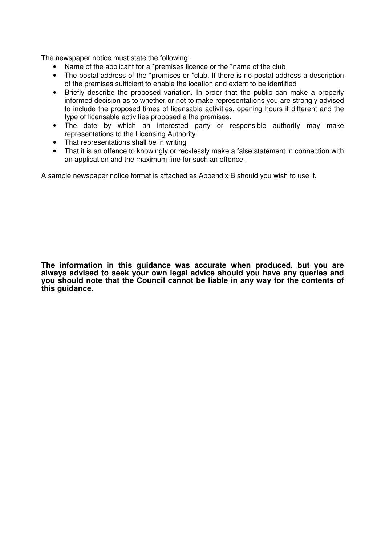The newspaper notice must state the following:

- Name of the applicant for a \*premises licence or the \*name of the club
- The postal address of the \*premises or \*club. If there is no postal address a description of the premises sufficient to enable the location and extent to be identified
- Briefly describe the proposed variation. In order that the public can make a properly informed decision as to whether or not to make representations you are strongly advised to include the proposed times of licensable activities, opening hours if different and the type of licensable activities proposed a the premises.
- The date by which an interested party or responsible authority may make representations to the Licensing Authority
- That representations shall be in writing
- That it is an offence to knowingly or recklessly make a false statement in connection with an application and the maximum fine for such an offence.

A sample newspaper notice format is attached as Appendix B should you wish to use it.

**The information in this guidance was accurate when produced, but you are always advised to seek your own legal advice should you have any queries and you should note that the Council cannot be liable in any way for the contents of this guidance.**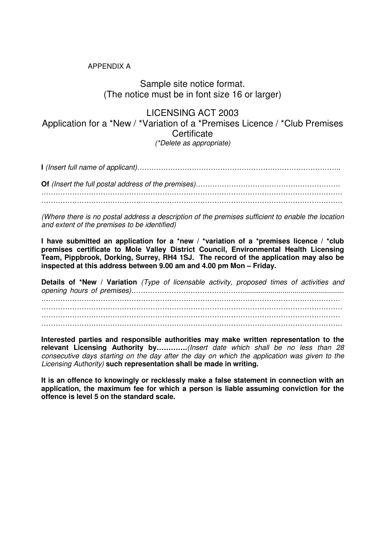#### APPENDIX A

#### Sample site notice format. (The notice must be in font size 16 or larger)

LICENSING ACT 2003 Application for a \*New / \*Variation of a \*Premises Licence / \*Club Premises **Certificate** (\*Delete as appropriate)

**I** (Insert full name of applicant)………………………………………………………………………….. **Of** (Insert the full postal address of the premises)……………………………………………………. ……………………………………………………………………………………………………………….

……………………………………………………………………………………………………………….

(Where there is no postal address a description of the premises sufficient to enable the location and extent of the premises to be identified)

**I have submitted an application for a \*new / \*variation of a \*premises licence / \*club premises certificate to Mole Valley District Council, Environmental Health Licensing Team, Pippbrook, Dorking, Surrey, RH4 1SJ. The record of the application may also be inspected at this address between 9.00 am and 4.00 pm Mon – Friday.** 

**Details of \*New / Variation** (Type of licensable activity, proposed times of activities and opening hours of premises)………………………………………….................................................. ………………………………………………………………………………………………………………  $\mathcal{L}^{\text{max}}_{\text{max}}$ ……………………………………………………………………………………………………………… ……………………………………………………………………………………………………………….

**Interested parties and responsible authorities may make written representation to the relevant Licensing Authority by………….**(Insert date which shall be no less than 28 consecutive days starting on the day after the day on which the application was given to the Licensing Authority) **such representation shall be made in writing.** 

**It is an offence to knowingly or recklessly make a false statement in connection with an application, the maximum fee for which a person is liable assuming conviction for the offence is level 5 on the standard scale.**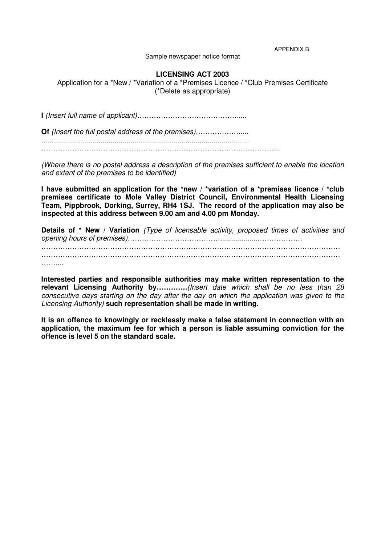APPENDIX B

Sample newspaper notice format

#### **LICENSING ACT 2003**

Application for a \*New / \*Variation of a \*Premises Licence / \*Club Premises Certificate (\*Delete as appropriate)

**I** (Insert full name of applicant)…………………………………….....

**Of** (Insert the full postal address of the premises)……………….....

.........................................................................................................

………………………………………………………………………………………..

(Where there is no postal address a description of the premises sufficient to enable the location and extent of the premises to be identified)

**I have submitted an application for the \*new / \*variation of a \*premises licence / \*club premises certificate to Mole Valley District Council, Environmental Health Licensing Team, Pippbrook, Dorking, Surrey, RH4 1SJ. The record of the application may also be inspected at this address between 9.00 am and 4.00 pm Monday.** 

**Details of \* New / Variation** (Type of licensable activity, proposed times of activities and opening hours of premises)…………………………………....................……………… ……………………………………………………………………………………………………………… ……………………………………………………………………………………………………………… …………

**Interested parties and responsible authorities may make written representation to the relevant Licensing Authority by………….**(Insert date which shall be no less than 28 consecutive days starting on the day after the day on which the application was given to the Licensing Authority) **such representation shall be made in writing.** 

**It is an offence to knowingly or recklessly make a false statement in connection with an application, the maximum fee for which a person is liable assuming conviction for the offence is level 5 on the standard scale.**